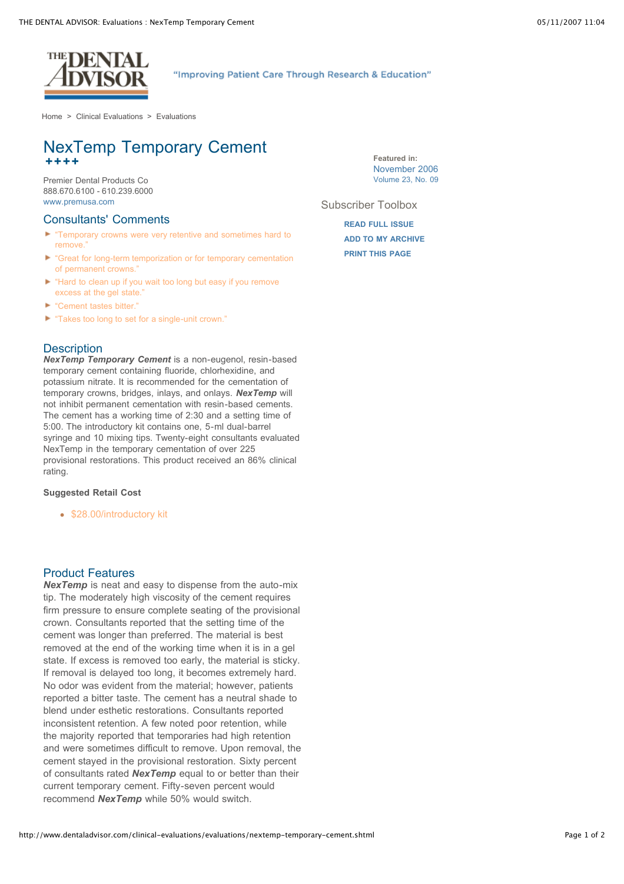

### "Improving Patient Care Through Research & Education"

[Home](http://www.dentaladvisor.com/index.shtml) > Clinical [Evaluations](http://www.dentaladvisor.com/clinical-evaluations/index.shtml) > [Evaluations](http://www.dentaladvisor.com/clinical-evaluations/evaluations/index.shtml)

# NexTemp Temporary Cement **++++**

Premier Dental Products Co 888.670.6100 - 610.239.6000 [www.premusa.com](http://www.premusa.com/)

#### Consultants' Comments

- **F** "Temporary crowns were very retentive and sometimes hard to remove
- ь "Great for long-term temporization or for temporary cementation of permanent crowns."
- ► "Hard to clean up if you wait too long but easy if you remove excess at the gel state."
- ► "Cement tastes bitter."
- "Takes too long to set for a single-unit crown."

#### **Description**

*NexTemp Temporary Cement* is a non-eugenol, resin-based temporary cement containing fluoride, chlorhexidine, and potassium nitrate. It is recommended for the cementation of temporary crowns, bridges, inlays, and onlays. *NexTemp* will not inhibit permanent cementation with resin-based cements. The cement has a working time of 2:30 and a setting time of 5:00. The introductory kit contains one, 5-ml dual-barrel syringe and 10 mixing tips. Twenty-eight consultants evaluated NexTemp in the temporary cementation of over 225 provisional restorations. This product received an 86% clinical rating.

#### **Suggested Retail Cost**

• \$28.00/introductory kit

#### Product Features

*NexTemp* is neat and easy to dispense from the auto-mix tip. The moderately high viscosity of the cement requires firm pressure to ensure complete seating of the provisional crown. Consultants reported that the setting time of the cement was longer than preferred. The material is best removed at the end of the working time when it is in a gel state. If excess is removed too early, the material is sticky. If removal is delayed too long, it becomes extremely hard. No odor was evident from the material; however, patients reported a bitter taste. The cement has a neutral shade to blend under esthetic restorations. Consultants reported inconsistent retention. A few noted poor retention, while the majority reported that temporaries had high retention and were sometimes difficult to remove. Upon removal, the cement stayed in the provisional restoration. Sixty percent of consultants rated *NexTemp* equal to or better than their current temporary cement. Fifty-seven percent would recommend *NexTemp* while 50% would switch.

**Featured in:** [November](http://www.dentaladvisor.com/publications/the-dental-advisor/23-09.shtml) 2006 Volume 23, No. 09

Subscriber Toolbox

**READ FULL [ISSUE](http://www.dentaladvisor.com/publications/the-dental-advisor/23-09.shtml) ADD TO MY [ARCHIVE](http://www.dentaladvisor.com/my-account/archive/add-to-archive.shtml?type=clinicalEvaluation&url=%2Fclinical-evaluations%2Fevaluations%2Fnextemp-temporary-cement.shtml&title=NexTemp+Temporary+Cement) [PRINT THIS](http://www.dentaladvisor.com/clinical-evaluations/evaluations/nextemp-temporary-cement.shtml#) PAGE**